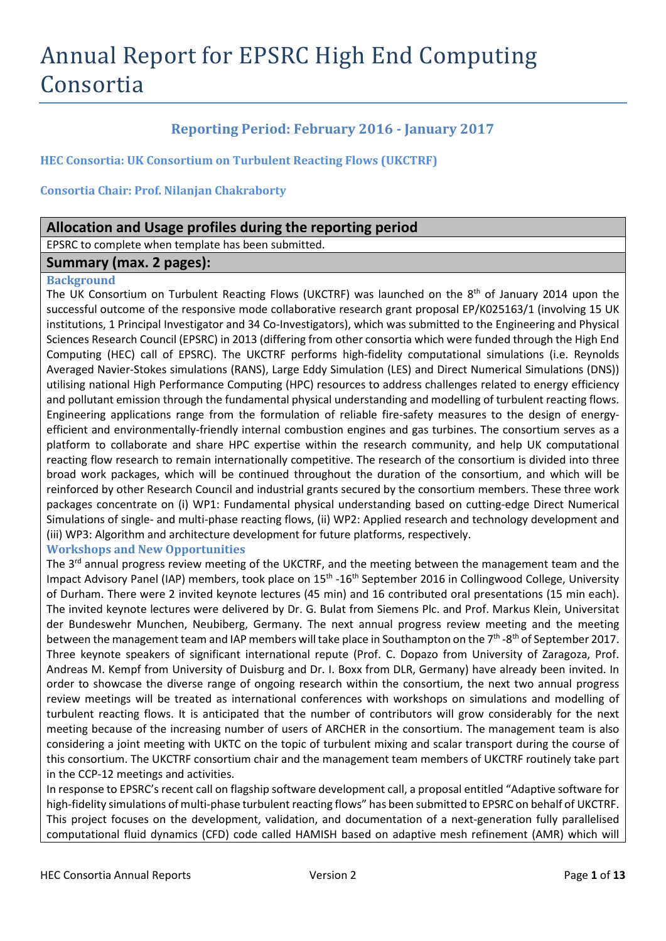# Annual Report for EPSRC High End Computing Consortia

# **Reporting Period: February 2016 - January 2017**

**HEC Consortia: UK Consortium on Turbulent Reacting Flows (UKCTRF)**

**Consortia Chair: Prof. Nilanjan Chakraborty**

## **Allocation and Usage profiles during the reporting period**

EPSRC to complete when template has been submitted.

## **Summary (max. 2 pages):**

### **Background**

The UK Consortium on Turbulent Reacting Flows (UKCTRF) was launched on the 8<sup>th</sup> of January 2014 upon the successful outcome of the responsive mode collaborative research grant proposal EP/K025163/1 (involving 15 UK institutions, 1 Principal Investigator and 34 Co-Investigators), which was submitted to the Engineering and Physical Sciences Research Council (EPSRC) in 2013 (differing from other consortia which were funded through the High End Computing (HEC) call of EPSRC). The UKCTRF performs high-fidelity computational simulations (i.e. Reynolds Averaged Navier-Stokes simulations (RANS), Large Eddy Simulation (LES) and Direct Numerical Simulations (DNS)) utilising national High Performance Computing (HPC) resources to address challenges related to energy efficiency and pollutant emission through the fundamental physical understanding and modelling of turbulent reacting flows. Engineering applications range from the formulation of reliable fire-safety measures to the design of energyefficient and environmentally-friendly internal combustion engines and gas turbines. The consortium serves as a platform to collaborate and share HPC expertise within the research community, and help UK computational reacting flow research to remain internationally competitive. The research of the consortium is divided into three broad work packages, which will be continued throughout the duration of the consortium, and which will be reinforced by other Research Council and industrial grants secured by the consortium members. These three work packages concentrate on (i) WP1: Fundamental physical understanding based on cutting-edge Direct Numerical Simulations of single- and multi-phase reacting flows, (ii) WP2: Applied research and technology development and (iii) WP3: Algorithm and architecture development for future platforms, respectively.

## **Workshops and New Opportunities**

The  $3<sup>rd</sup>$  annual progress review meeting of the UKCTRF, and the meeting between the management team and the Impact Advisory Panel (IAP) members, took place on  $15<sup>th</sup>$ -16<sup>th</sup> September 2016 in Collingwood College, University of Durham. There were 2 invited keynote lectures (45 min) and 16 contributed oral presentations (15 min each). The invited keynote lectures were delivered by Dr. G. Bulat from Siemens Plc. and Prof. Markus Klein, Universitat der Bundeswehr Munchen, Neubiberg, Germany. The next annual progress review meeting and the meeting between the management team and IAP members will take place in Southampton on the 7<sup>th</sup> -8<sup>th</sup> of September 2017. Three keynote speakers of significant international repute (Prof. C. Dopazo from University of Zaragoza, Prof. Andreas M. Kempf from University of Duisburg and Dr. I. Boxx from DLR, Germany) have already been invited. In order to showcase the diverse range of ongoing research within the consortium, the next two annual progress review meetings will be treated as international conferences with workshops on simulations and modelling of turbulent reacting flows. It is anticipated that the number of contributors will grow considerably for the next meeting because of the increasing number of users of ARCHER in the consortium. The management team is also considering a joint meeting with UKTC on the topic of turbulent mixing and scalar transport during the course of this consortium. The UKCTRF consortium chair and the management team members of UKCTRF routinely take part in the CCP-12 meetings and activities.

In response to EPSRC's recent call on flagship software development call, a proposal entitled "Adaptive software for high-fidelity simulations of multi-phase turbulent reacting flows" has been submitted to EPSRC on behalf of UKCTRF. This project focuses on the development, validation, and documentation of a next-generation fully parallelised computational fluid dynamics (CFD) code called HAMISH based on adaptive mesh refinement (AMR) which will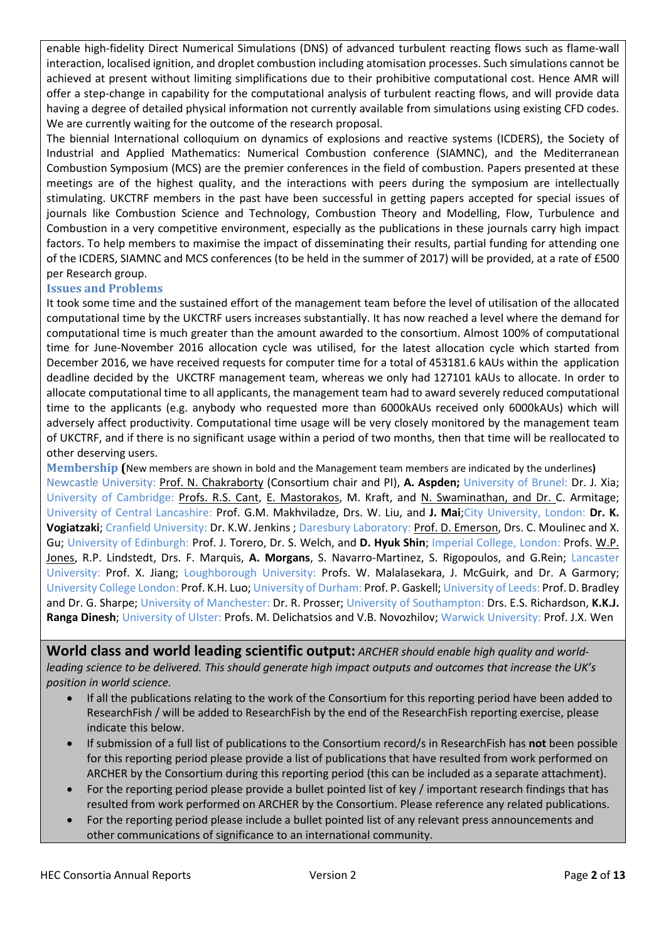enable high-fidelity Direct Numerical Simulations (DNS) of advanced turbulent reacting flows such as flame-wall interaction, localised ignition, and droplet combustion including atomisation processes. Such simulations cannot be achieved at present without limiting simplifications due to their prohibitive computational cost. Hence AMR will offer a step-change in capability for the computational analysis of turbulent reacting flows, and will provide data having a degree of detailed physical information not currently available from simulations using existing CFD codes. We are currently waiting for the outcome of the research proposal.

The biennial International colloquium on dynamics of explosions and reactive systems (ICDERS), the Society of Industrial and Applied Mathematics: Numerical Combustion conference (SIAMNC), and the Mediterranean Combustion Symposium (MCS) are the premier conferences in the field of combustion. Papers presented at these meetings are of the highest quality, and the interactions with peers during the symposium are intellectually stimulating. UKCTRF members in the past have been successful in getting papers accepted for special issues of journals like Combustion Science and Technology, Combustion Theory and Modelling, Flow, Turbulence and Combustion in a very competitive environment, especially as the publications in these journals carry high impact factors. To help members to maximise the impact of disseminating their results, partial funding for attending one of the ICDERS, SIAMNC and MCS conferences (to be held in the summer of 2017) will be provided, at a rate of £500 per Research group.

## **Issues and Problems**

It took some time and the sustained effort of the management team before the level of utilisation of the allocated computational time by the UKCTRF users increases substantially. It has now reached a level where the demand for computational time is much greater than the amount awarded to the consortium. Almost 100% of computational time for June-November 2016 allocation cycle was utilised, for the latest allocation cycle which started from December 2016, we have received requests for computer time for a total of 453181.6 kAUs within the application deadline decided by the UKCTRF management team, whereas we only had 127101 kAUs to allocate. In order to allocate computational time to all applicants, the management team had to award severely reduced computational time to the applicants (e.g. anybody who requested more than 6000kAUs received only 6000kAUs) which will adversely affect productivity. Computational time usage will be very closely monitored by the management team of UKCTRF, and if there is no significant usage within a period of two months, then that time will be reallocated to other deserving users.

**Membership (**New members are shown in bold and the Management team members are indicated by the underlines**)** Newcastle University: Prof. N. Chakraborty (Consortium chair and PI), **A. Aspden;** University of Brunel: Dr. J. Xia; University of Cambridge: Profs. R.S. Cant, E. Mastorakos, M. Kraft, and N. Swaminathan, and Dr. C. Armitage; University of Central Lancashire: Prof. G.M. Makhviladze, Drs. W. Liu, and **J. Mai**;City University, London: **Dr. K. Vogiatzaki**; Cranfield University: Dr. K.W. Jenkins ; Daresbury Laboratory: Prof. D. Emerson, Drs. C. Moulinec and X. Gu; University of Edinburgh: Prof. J. Torero, Dr. S. Welch, and **D. Hyuk Shin**; Imperial College, London: Profs. W.P. Jones, R.P. Lindstedt, Drs. F. Marquis, **A. Morgans**, S. Navarro-Martinez, S. Rigopoulos, and G.Rein; Lancaster University: Prof. X. Jiang; Loughborough University: Profs. W. Malalasekara, J. McGuirk, and Dr. A Garmory; University College London: Prof. K.H. Luo; University of Durham: Prof. P. Gaskell; University of Leeds: Prof. D. Bradley and Dr. G. Sharpe; University of Manchester: Dr. R. Prosser; University of Southampton: Drs. E.S. Richardson, **K.K.J. Ranga Dinesh**; University of Ulster: Profs. M. Delichatsios and V.B. Novozhilov; Warwick University: Prof. J.X. Wen

**World class and world leading scientific output:** *ARCHER should enable high quality and worldleading science to be delivered. This should generate high impact outputs and outcomes that increase the UK's position in world science.*

- If all the publications relating to the work of the Consortium for this reporting period have been added to ResearchFish / will be added to ResearchFish by the end of the ResearchFish reporting exercise, please indicate this below.
- If submission of a full list of publications to the Consortium record/s in ResearchFish has **not** been possible for this reporting period please provide a list of publications that have resulted from work performed on ARCHER by the Consortium during this reporting period (this can be included as a separate attachment).
- For the reporting period please provide a bullet pointed list of key / important research findings that has resulted from work performed on ARCHER by the Consortium. Please reference any related publications.
- For the reporting period please include a bullet pointed list of any relevant press announcements and other communications of significance to an international community.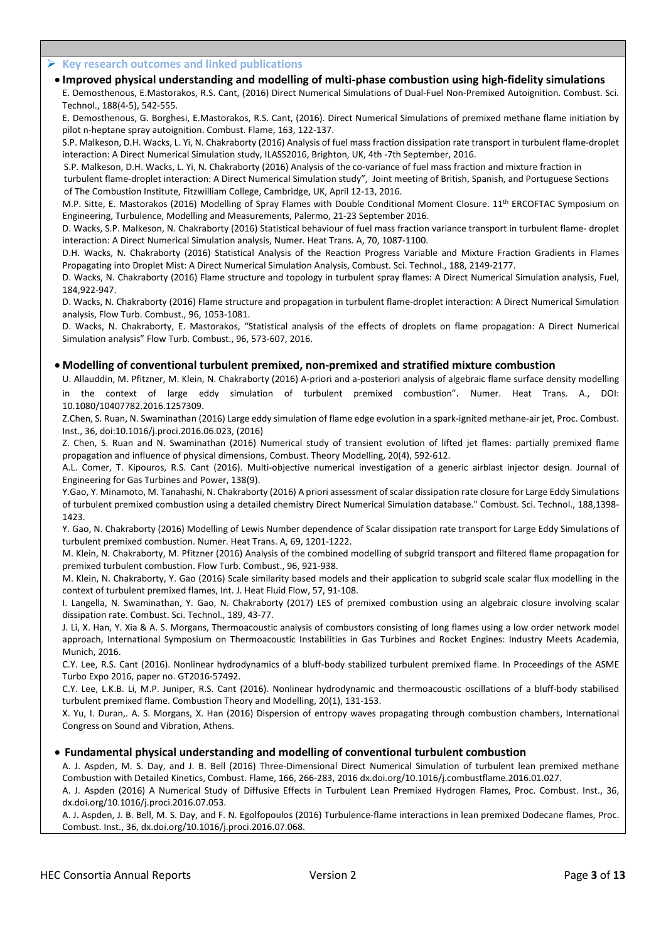#### **Key research outcomes and linked publications**

#### • **Improved physical understanding and modelling of multi-phase combustion using high-fidelity simulations**

E. Demosthenous, E.Mastorakos, R.S. Cant, (2016) Direct Numerical Simulations of Dual-Fuel Non-Premixed Autoignition. Combust. Sci. Technol., 188(4-5), 542-555.

E. Demosthenous, G. Borghesi, E.Mastorakos, R.S. Cant, (2016). Direct Numerical Simulations of premixed methane flame initiation by pilot n-heptane spray autoignition. Combust. Flame, 163, 122-137.

S.P. Malkeson, D.H. Wacks, L. Yi, N. Chakraborty (2016) Analysis of fuel mass fraction dissipation rate transport in turbulent flame-droplet interaction: A Direct Numerical Simulation study, ILASS2016, Brighton, UK, 4th -7th September, 2016.

S.P. Malkeson, D.H. Wacks, L. Yi, N. Chakraborty (2016) Analysis of the co-variance of fuel mass fraction and mixture fraction in

turbulent flame-droplet interaction: A Direct Numerical Simulation study", Joint meeting of British, Spanish, and Portuguese Sections of The Combustion Institute, Fitzwilliam College, Cambridge, UK, April 12-13, 2016.

M.P. Sitte, E. Mastorakos (2016) Modelling of Spray Flames with Double Conditional Moment Closure. 11th ERCOFTAC Symposium on Engineering, Turbulence, Modelling and Measurements, Palermo, 21-23 September 2016.

D. Wacks, S.P. Malkeson, N. Chakraborty (2016) Statistical behaviour of fuel mass fraction variance transport in turbulent flame- droplet interaction: A Direct Numerical Simulation analysis, Numer. Heat Trans. A, 70, 1087-1100.

D.H. Wacks, N. Chakraborty (2016) Statistical Analysis of the Reaction Progress Variable and Mixture Fraction Gradients in Flames Propagating into Droplet Mist: A Direct Numerical Simulation Analysis, Combust. Sci. Technol., 188, 2149-2177.

D. Wacks, N. Chakraborty (2016) Flame structure and topology in turbulent spray flames: A Direct Numerical Simulation analysis, Fuel, 184,922-947.

D. Wacks, N. Chakraborty (2016) Flame structure and propagation in turbulent flame-droplet interaction: A Direct Numerical Simulation analysis, Flow Turb. Combust., 96, 1053-1081.

D. Wacks, N. Chakraborty, E. Mastorakos, "Statistical analysis of the effects of droplets on flame propagation: A Direct Numerical Simulation analysis" Flow Turb. Combust., 96, 573-607, 2016.

#### • **Modelling of conventional turbulent premixed, non-premixed and stratified mixture combustion**

U. Allauddin, M. Pfitzner, M. Klein, N. Chakraborty (2016) A-priori and a-posteriori analysis of algebraic flame surface density modelling in the context of large eddy simulation of turbulent premixed combustion". Numer. Heat Trans. A., DOI: 10.1080/10407782.2016.1257309.

Z.Chen, S. Ruan, N. Swaminathan (2016) Large eddy simulation of flame edge evolution in a spark-ignited methane-air jet, Proc. Combust. Inst., 36, doi:10.1016/j.proci.2016.06.023, (2016)

Z. Chen, S. Ruan and N. Swaminathan (2016) Numerical study of transient evolution of lifted jet flames: partially premixed flame propagation and influence of physical dimensions, Combust. Theory Modelling, 20(4), 592-612.

A.L. Comer, T. Kipouros, R.S. Cant (2016). Multi-objective numerical investigation of a generic airblast injector design. Journal of Engineering for Gas Turbines and Power, 138(9).

Y.Gao, Y. Minamoto, M. Tanahashi, N. Chakraborty (2016) A priori assessment of scalar dissipation rate closure for Large Eddy Simulations of turbulent premixed combustion using a detailed chemistry Direct Numerical Simulation database." Combust. Sci. Technol., 188,1398- 1423.

Y. Gao, N. Chakraborty (2016) Modelling of Lewis Number dependence of Scalar dissipation rate transport for Large Eddy Simulations of turbulent premixed combustion. Numer. Heat Trans. A, 69, 1201-1222.

M. Klein, N. Chakraborty, M. Pfitzner (2016) Analysis of the combined modelling of subgrid transport and filtered flame propagation for premixed turbulent combustion. Flow Turb. Combust., 96, 921-938.

M. Klein, N. Chakraborty, Y. Gao (2016) Scale similarity based models and their application to subgrid scale scalar flux modelling in the context of turbulent premixed flames, Int. J. Heat Fluid Flow, 57, 91-108.

I. Langella, N. Swaminathan, Y. Gao, N. Chakraborty (2017) LES of premixed combustion using an algebraic closure involving scalar dissipation rate. Combust. Sci. Technol., 189, 43-77.

J. Li, X. Han, Y. Xia & A. S. Morgans, Thermoacoustic analysis of combustors consisting of long flames using a low order network model approach, International Symposium on Thermoacoustic Instabilities in Gas Turbines and Rocket Engines: Industry Meets Academia, Munich, 2016.

C.Y. Lee, R.S. Cant (2016). Nonlinear hydrodynamics of a bluff-body stabilized turbulent premixed flame. In Proceedings of the ASME Turbo Expo 2016, paper no. GT2016-57492.

C.Y. Lee, L.K.B. Li, M.P. Juniper, R.S. Cant (2016). Nonlinear hydrodynamic and thermoacoustic oscillations of a bluff-body stabilised turbulent premixed flame. Combustion Theory and Modelling, 20(1), 131-153.

X. Yu, I. Duran,. A. S. Morgans, X. Han (2016) Dispersion of entropy waves propagating through combustion chambers, International Congress on Sound and Vibration, Athens.

#### • **Fundamental physical understanding and modelling of conventional turbulent combustion**

A. J. Aspden, M. S. Day, and J. B. Bell (2016) Three-Dimensional Direct Numerical Simulation of turbulent lean premixed methane Combustion with Detailed Kinetics, Combust. Flame, 166, 266-283, 2016 dx.doi.org/10.1016/j.combustflame.2016.01.027.

A. J. Aspden (2016) A Numerical Study of Diffusive Effects in Turbulent Lean Premixed Hydrogen Flames, Proc. Combust. Inst., 36, dx.doi.org/10.1016/j.proci.2016.07.053.

A. J. Aspden, J. B. Bell, M. S. Day, and F. N. Egolfopoulos (2016) Turbulence-flame interactions in lean premixed Dodecane flames, Proc. Combust. Inst., 36, dx.doi.org/10.1016/j.proci.2016.07.068.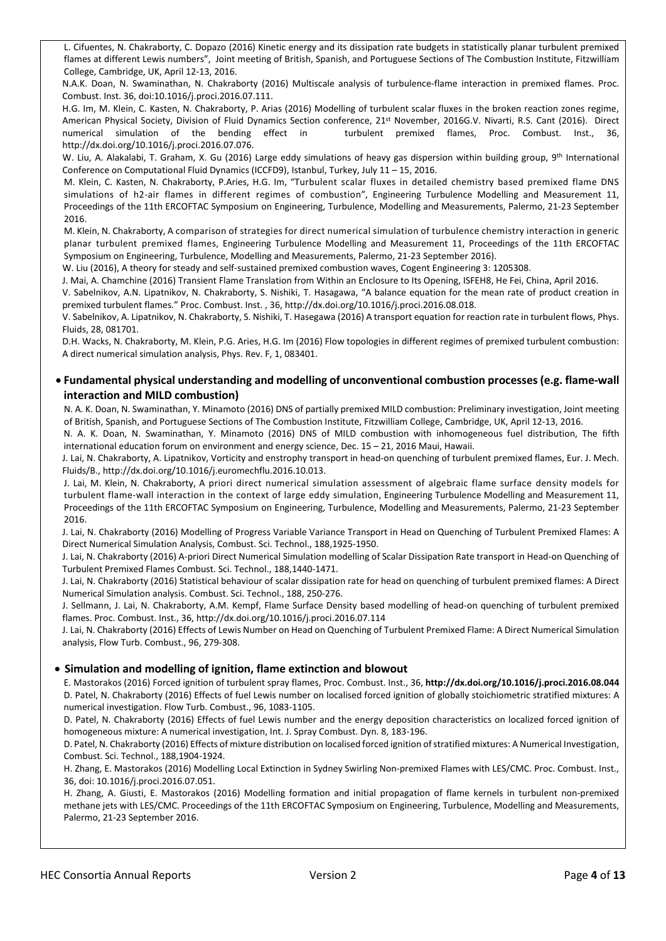L. Cifuentes, N. Chakraborty, C. Dopazo (2016) Kinetic energy and its dissipation rate budgets in statistically planar turbulent premixed flames at different Lewis numbers", Joint meeting of British, Spanish, and Portuguese Sections of The Combustion Institute, Fitzwilliam College, Cambridge, UK, April 12-13, 2016.

N.A.K. Doan, N. Swaminathan, N. Chakraborty (2016) Multiscale analysis of turbulence-flame interaction in premixed flames. Proc. Combust. Inst. 36, doi:10.1016/j.proci.2016.07.111.

H.G. Im, M. Klein, C. Kasten, N. Chakraborty, P. Arias (2016) Modelling of turbulent scalar fluxes in the broken reaction zones regime, American Physical Society, Division of Fluid Dynamics Section conference, 21<sup>st</sup> November, 2016G.V. Nivarti, R.S. Cant (2016). Direct numerical simulation of the bending effect in turbulent premixed flames, Proc. Combust. Inst., 36, [http://dx.doi.org/10.1016/j.proci.2016.07.076.](http://dx.doi.org/10.1016/j.proci.2016.07.076)

W. Liu, A. Alakalabi, T. Graham, X. Gu (2016) Large eddy simulations of heavy gas dispersion within building group, 9<sup>th</sup> International Conference on Computational Fluid Dynamics (ICCFD9), Istanbul, Turkey, July 11 – 15, 2016.

M. Klein, C. Kasten, N. Chakraborty, P.Aries, H.G. Im, "Turbulent scalar fluxes in detailed chemistry based premixed flame DNS simulations of h2-air flames in different regimes of combustion", Engineering Turbulence Modelling and Measurement 11, Proceedings of the 11th ERCOFTAC Symposium on Engineering, Turbulence, Modelling and Measurements, Palermo, 21-23 September 2016.

M. Klein, N. Chakraborty, A comparison of strategies for direct numerical simulation of turbulence chemistry interaction in generic planar turbulent premixed flames, Engineering Turbulence Modelling and Measurement 11, Proceedings of the 11th ERCOFTAC Symposium on Engineering, Turbulence, Modelling and Measurements, Palermo, 21-23 September 2016).

W. Liu (2016), A theory for steady and self-sustained premixed combustion waves, Cogent Engineering 3: 1205308.

J. Mai, A. Chamchine (2016) Transient Flame Translation from Within an Enclosure to Its Opening, ISFEH8, He Fei, China, April 2016.

V. Sabelnikov, A.N. Lipatnikov, N. Chakraborty, S. Nishiki, T. Hasagawa, "A balance equation for the mean rate of product creation in premixed turbulent flames." Proc. Combust. Inst. , 36, [http://dx.doi.org/10.1016/j.proci.2016.08.018.](http://dx.doi.org/10.1016/j.proci.2016.08.018)

V. Sabelnikov, A. Lipatnikov, N. Chakraborty, S. Nishiki, T. Hasegawa (2016) A transport equation for reaction rate in turbulent flows, Phys. Fluids, 28, 081701.

D.H. Wacks, N. Chakraborty, M. Klein, P.G. Aries, H.G. Im (2016) Flow topologies in different regimes of premixed turbulent combustion: A direct numerical simulation analysis, Phys. Rev. F, 1, 083401.

#### • **Fundamental physical understanding and modelling of unconventional combustion processes (e.g. flame-wall interaction and MILD combustion)**

N. A. K. Doan, N. Swaminathan, Y. Minamoto (2016) DNS of partially premixed MILD combustion: Preliminary investigation, Joint meeting of British, Spanish, and Portuguese Sections of The Combustion Institute, Fitzwilliam College, Cambridge, UK, April 12-13, 2016.

N. A. K. Doan, N. Swaminathan, Y. Minamoto (2016) DNS of MILD combustion with inhomogeneous fuel distribution, The fifth international education forum on environment and energy science, Dec. 15 – 21, 2016 Maui, Hawaii.

J. Lai, N. Chakraborty, A. Lipatnikov, Vorticity and enstrophy transport in head-on quenching of turbulent premixed flames, Eur. J. Mech. Fluids/B., [http://dx.doi.org/10.1016/j.euromechflu.2016.10.013.](http://dx.doi.org/10.1016/j.euromechflu.2016.10.013)

J. Lai, M. Klein, N. Chakraborty, A priori direct numerical simulation assessment of algebraic flame surface density models for turbulent flame-wall interaction in the context of large eddy simulation, Engineering Turbulence Modelling and Measurement 11, Proceedings of the 11th ERCOFTAC Symposium on Engineering, Turbulence, Modelling and Measurements, Palermo, 21-23 September 2016.

J. Lai, N. Chakraborty (2016) Modelling of Progress Variable Variance Transport in Head on Quenching of Turbulent Premixed Flames: A Direct Numerical Simulation Analysis, Combust. Sci. Technol., 188,1925-1950.

J. Lai, N. Chakraborty (2016) A-priori Direct Numerical Simulation modelling of Scalar Dissipation Rate transport in Head-on Quenching of Turbulent Premixed Flames Combust. Sci. Technol., 188,1440-1471.

J. Lai, N. Chakraborty (2016) Statistical behaviour of scalar dissipation rate for head on quenching of turbulent premixed flames: A Direct Numerical Simulation analysis. Combust. Sci. Technol., 188, 250-276.

J. Sellmann, J. Lai, N. Chakraborty, A.M. Kempf, Flame Surface Density based modelling of head-on quenching of turbulent premixed flames. Proc. Combust. Inst., 36, http://dx.doi.org/10.1016/j.proci.2016.07.114

J. Lai, N. Chakraborty (2016) Effects of Lewis Number on Head on Quenching of Turbulent Premixed Flame: A Direct Numerical Simulation analysis, Flow Turb. Combust., 96, 279-308.

#### • **Simulation and modelling of ignition, flame extinction and blowout**

E. Mastorakos (2016) Forced ignition of turbulent spray flames, Proc. Combust. Inst., 36, **<http://dx.doi.org/10.1016/j.proci.2016.08.044>** D. Patel, N. Chakraborty (2016) Effects of fuel Lewis number on localised forced ignition of globally stoichiometric stratified mixtures: A numerical investigation. Flow Turb. Combust., 96, 1083-1105.

D. Patel, N. Chakraborty (2016) Effects of fuel Lewis number and the energy deposition characteristics on localized forced ignition of homogeneous mixture: A numerical investigation, Int. J. Spray Combust. Dyn. 8, 183-196.

D. Patel, N. Chakraborty (2016) Effects of mixture distribution on localised forced ignition of stratified mixtures: A Numerical Investigation, Combust. Sci. Technol., 188,1904-1924.

H. Zhang, E. Mastorakos (2016) Modelling Local Extinction in Sydney Swirling Non-premixed Flames with LES/CMC. Proc. Combust. Inst., 36, doi: 10.1016/j.proci.2016.07.051.

H. Zhang, A. Giusti, E. Mastorakos (2016) Modelling formation and initial propagation of flame kernels in turbulent non-premixed methane jets with LES/CMC. Proceedings of the 11th ERCOFTAC Symposium on Engineering, Turbulence, Modelling and Measurements, Palermo, 21-23 September 2016.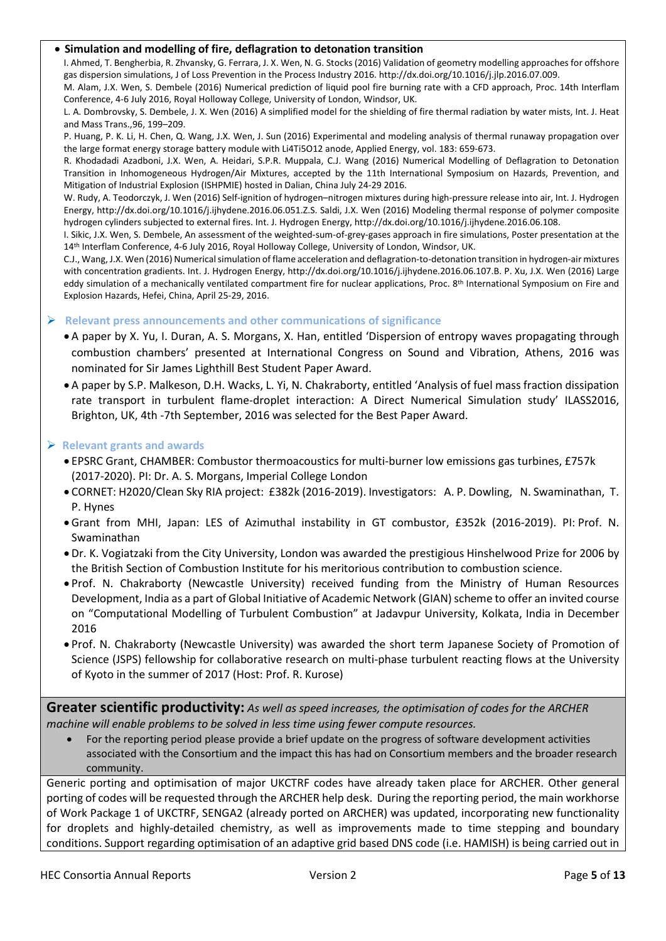#### • **Simulation and modelling of fire, deflagration to detonation transition**

I. Ahmed, T. Bengherbia, R. Zhvansky, G. Ferrara, J. X. Wen, N. G. Stocks (2016) Validation of geometry modelling approaches for offshore gas dispersion simulations, J of Loss Prevention in the Process Industry 2016. [http://dx.doi.org/10.1016/j.jlp.2016.07.009.](http://dx.doi.org/10.1016/j.jlp.2016.07.009) 

M. Alam, J.X. Wen, S. Dembele (2016) Numerical prediction of liquid pool fire burning rate with a CFD approach, Proc. 14th Interflam Conference, 4-6 July 2016, Royal Holloway College, University of London, Windsor, UK.

L. A. Dombrovsky, S. Dembele, J. X. Wen (2016) A simplified model for the shielding of fire thermal radiation by water mists, Int. J. Heat and Mass Trans.,96, 199–209.

P. Huang, P. K. Li, H. Chen, Q. Wang, J.X. Wen, J. Sun (2016) Experimental and modeling analysis of thermal runaway propagation over the large format energy storage battery module with Li4Ti5O12 anode, Applied Energy, vol. 183: 659-673.

R. Khodadadi Azadboni, J.X. Wen, A. Heidari, S.P.R. Muppala, C.J. Wang (2016) Numerical Modelling of Deflagration to Detonation Transition in Inhomogeneous Hydrogen/Air Mixtures, accepted by the 11th International Symposium on Hazards, Prevention, and Mitigation of Industrial Explosion (ISHPMIE) hosted in Dalian, China July 24-29 2016.

W. Rudy, A. Teodorczyk, J. Wen (2016) Self-ignition of hydrogen–nitrogen mixtures during high-pressure release into air, Int. J. Hydrogen Energy, http://dx.doi.org/10.1016/j.ijhydene.2016.06.051.Z.S. Saldi, J.X. Wen (2016) Modeling thermal response of polymer composite hydrogen cylinders subjected to external fires. Int. J. Hydrogen Energy, [http://dx.doi.org/10.1016/j.ijhydene.2016.06.108.](http://dx.doi.org/10.1016/j.ijhydene.2016.06.108)

I. Sikic, J.X. Wen, S. Dembele, An assessment of the weighted-sum-of-grey-gases approach in fire simulations, Poster presentation at the 14<sup>th</sup> Interflam Conference, 4-6 July 2016, Royal Holloway College, University of London, Windsor, UK.

C.J., Wang, J.X. Wen (2016) Numerical simulation of flame acceleration and deflagration-to-detonation transition in hydrogen-air mixtures with concentration gradients. Int. J. Hydrogen Energy, http://dx.doi.org/10.1016/j.ijhydene.2016.06.107.B. P. Xu, J.X. Wen (2016) Large eddy simulation of a mechanically ventilated compartment fire for nuclear applications, Proc. 8th International Symposium on Fire and Explosion Hazards, Hefei, China, April 25-29, 2016.

#### **Relevant press announcements and other communications of significance**

- A paper by X. Yu, I. Duran, A. S. Morgans, X. Han, entitled 'Dispersion of entropy waves propagating through combustion chambers' presented at International Congress on Sound and Vibration, Athens, 2016 was nominated for Sir James Lighthill Best Student Paper Award.
- A paper by S.P. Malkeson, D.H. Wacks, L. Yi, N. Chakraborty, entitled 'Analysis of fuel mass fraction dissipation rate transport in turbulent flame-droplet interaction: A Direct Numerical Simulation study' ILASS2016, Brighton, UK, 4th -7th September, 2016 was selected for the Best Paper Award.

#### **Relevant grants and awards**

- EPSRC Grant, CHAMBER: Combustor thermoacoustics for multi-burner low emissions gas turbines, £757k (2017-2020). PI: Dr. A. S. Morgans, Imperial College London
- CORNET: H2020/Clean Sky RIA project: £382k (2016-2019). Investigators: A. P. Dowling, N. Swaminathan, T. P. Hynes
- Grant from MHI, Japan: LES of Azimuthal instability in GT combustor, £352k (2016-2019). PI: Prof. N. Swaminathan
- Dr. K. Vogiatzaki from the City University, London was awarded the prestigious Hinshelwood Prize for 2006 by the British Section of Combustion Institute for his meritorious contribution to combustion science.
- Prof. N. Chakraborty (Newcastle University) received funding from the Ministry of Human Resources Development, India as a part of Global Initiative of Academic Network (GIAN) scheme to offer an invited course on "Computational Modelling of Turbulent Combustion" at Jadavpur University, Kolkata, India in December 2016
- Prof. N. Chakraborty (Newcastle University) was awarded the short term Japanese Society of Promotion of Science (JSPS) fellowship for collaborative research on multi-phase turbulent reacting flows at the University of Kyoto in the summer of 2017 (Host: Prof. R. Kurose)

**Greater scientific productivity:** *As well as speed increases, the optimisation of codes for the ARCHER machine will enable problems to be solved in less time using fewer compute resources.*

• For the reporting period please provide a brief update on the progress of software development activities associated with the Consortium and the impact this has had on Consortium members and the broader research community.

Generic porting and optimisation of major UKCTRF codes have already taken place for ARCHER. Other general porting of codes will be requested through the ARCHER help desk. During the reporting period, the main workhorse of Work Package 1 of UKCTRF, SENGA2 (already ported on ARCHER) was updated, incorporating new functionality for droplets and highly-detailed chemistry, as well as improvements made to time stepping and boundary conditions. Support regarding optimisation of an adaptive grid based DNS code (i.e. HAMISH) is being carried out in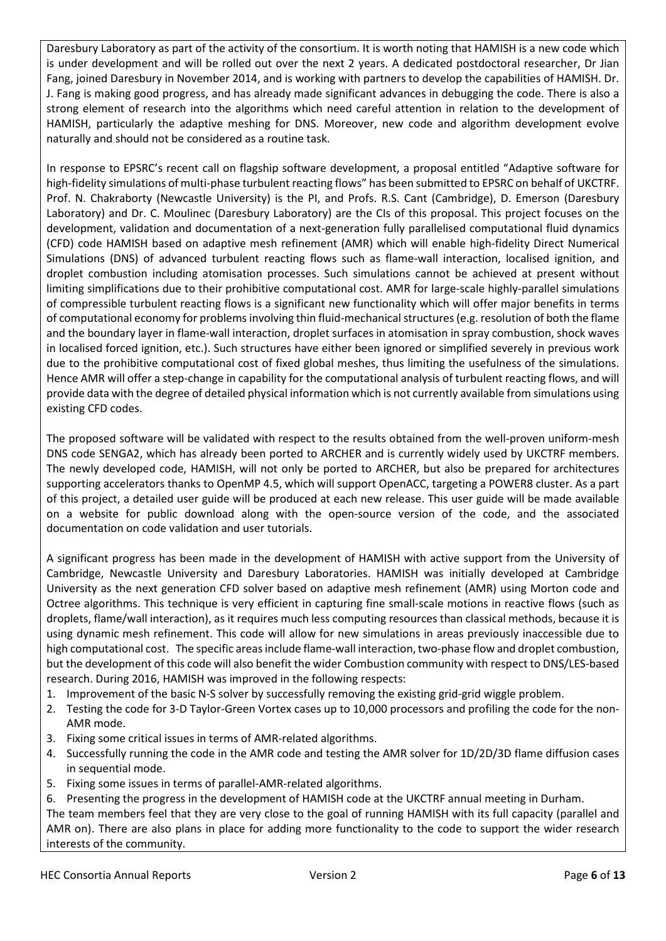Daresbury Laboratory as part of the activity of the consortium. It is worth noting that HAMISH is a new code which is under development and will be rolled out over the next 2 years. A dedicated postdoctoral researcher, Dr Jian Fang, joined Daresbury in November 2014, and is working with partners to develop the capabilities of HAMISH. Dr. J. Fang is making good progress, and has already made significant advances in debugging the code. There is also a strong element of research into the algorithms which need careful attention in relation to the development of HAMISH, particularly the adaptive meshing for DNS. Moreover, new code and algorithm development evolve naturally and should not be considered as a routine task.

In response to EPSRC's recent call on flagship software development, a proposal entitled "Adaptive software for high-fidelity simulations of multi-phase turbulent reacting flows" has been submitted to EPSRC on behalf of UKCTRF. Prof. N. Chakraborty (Newcastle University) is the PI, and Profs. R.S. Cant (Cambridge), D. Emerson (Daresbury Laboratory) and Dr. C. Moulinec (Daresbury Laboratory) are the CIs of this proposal. This project focuses on the development, validation and documentation of a next-generation fully parallelised computational fluid dynamics (CFD) code HAMISH based on adaptive mesh refinement (AMR) which will enable high-fidelity Direct Numerical Simulations (DNS) of advanced turbulent reacting flows such as flame-wall interaction, localised ignition, and droplet combustion including atomisation processes. Such simulations cannot be achieved at present without limiting simplifications due to their prohibitive computational cost. AMR for large-scale highly-parallel simulations of compressible turbulent reacting flows is a significant new functionality which will offer major benefits in terms of computational economy for problems involving thin fluid-mechanical structures (e.g. resolution of both the flame and the boundary layer in flame-wall interaction, droplet surfaces in atomisation in spray combustion, shock waves in localised forced ignition, etc.). Such structures have either been ignored or simplified severely in previous work due to the prohibitive computational cost of fixed global meshes, thus limiting the usefulness of the simulations. Hence AMR will offer a step-change in capability for the computational analysis of turbulent reacting flows, and will provide data with the degree of detailed physical information which is not currently available from simulations using existing CFD codes.

The proposed software will be validated with respect to the results obtained from the well-proven uniform-mesh DNS code SENGA2, which has already been ported to ARCHER and is currently widely used by UKCTRF members. The newly developed code, HAMISH, will not only be ported to ARCHER, but also be prepared for architectures supporting accelerators thanks to OpenMP 4.5, which will support OpenACC, targeting a POWER8 cluster. As a part of this project, a detailed user guide will be produced at each new release. This user guide will be made available on a website for public download along with the open-source version of the code, and the associated documentation on code validation and user tutorials.

A significant progress has been made in the development of HAMISH with active support from the University of Cambridge, Newcastle University and Daresbury Laboratories. HAMISH was initially developed at Cambridge University as the next generation CFD solver based on adaptive mesh refinement (AMR) using Morton code and Octree algorithms. This technique is very efficient in capturing fine small-scale motions in reactive flows (such as droplets, flame/wall interaction), as it requires much less computing resources than classical methods, because it is using dynamic mesh refinement. This code will allow for new simulations in areas previously inaccessible due to high computational cost. The specific areas include flame-wall interaction, two-phase flow and droplet combustion, but the development of this code will also benefit the wider Combustion community with respect to DNS/LES-based research. During 2016, HAMISH was improved in the following respects:

- 1. Improvement of the basic N-S solver by successfully removing the existing grid-grid wiggle problem.
- 2. Testing the code for 3-D Taylor-Green Vortex cases up to 10,000 processors and profiling the code for the non-AMR mode.
- 3. Fixing some critical issues in terms of AMR-related algorithms.
- 4. Successfully running the code in the AMR code and testing the AMR solver for 1D/2D/3D flame diffusion cases in sequential mode.
- 5. Fixing some issues in terms of parallel-AMR-related algorithms.
- 6. Presenting the progress in the development of HAMISH code at the UKCTRF annual meeting in Durham.

The team members feel that they are very close to the goal of running HAMISH with its full capacity (parallel and AMR on). There are also plans in place for adding more functionality to the code to support the wider research interests of the community.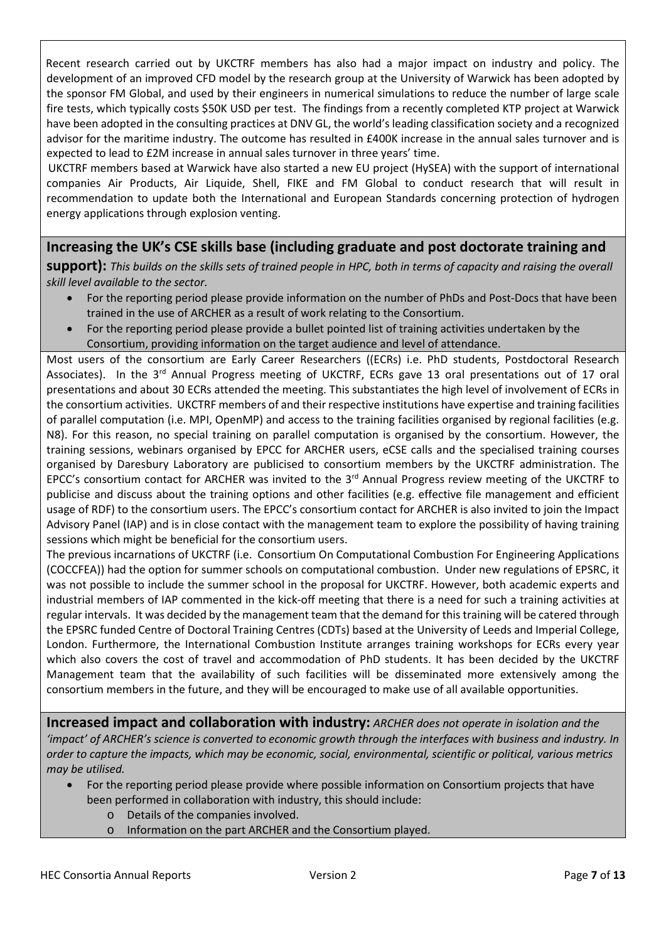Recent research carried out by UKCTRF members has also had a major impact on industry and policy. The development of an improved CFD model by the research group at the University of Warwick has been adopted by the sponsor FM Global, and used by their engineers in numerical simulations to reduce the number of large scale fire tests, which typically costs \$50K USD per test. The findings from a recently completed KTP project at Warwick have been adopted in the consulting practices at DNV GL, the world's leading classification society and a recognized advisor for the maritime industry. The outcome has resulted in £400K increase in the annual sales turnover and is expected to lead to £2M increase in annual sales turnover in three years' time.

UKCTRF members based at Warwick have also started a new EU project (HySEA) with the support of international companies Air Products, Air Liquide, Shell, FIKE and FM Global to conduct research that will result in recommendation to update both the International and European Standards concerning protection of hydrogen energy applications through explosion venting.

## **Increasing the UK's CSE skills base (including graduate and post doctorate training and**

**support):** *This builds on the skills sets of trained people in HPC, both in terms of capacity and raising the overall skill level available to the sector.*

- For the reporting period please provide information on the number of PhDs and Post-Docs that have been trained in the use of ARCHER as a result of work relating to the Consortium.
- For the reporting period please provide a bullet pointed list of training activities undertaken by the Consortium, providing information on the target audience and level of attendance.

Most users of the consortium are Early Career Researchers ((ECRs) i.e. PhD students, Postdoctoral Research Associates). In the 3<sup>rd</sup> Annual Progress meeting of UKCTRF, ECRs gave 13 oral presentations out of 17 oral presentations and about 30 ECRs attended the meeting. This substantiates the high level of involvement of ECRs in the consortium activities. UKCTRF members of and their respective institutions have expertise and training facilities of parallel computation (i.e. MPI, OpenMP) and access to the training facilities organised by regional facilities (e.g. N8). For this reason, no special training on parallel computation is organised by the consortium. However, the training sessions, webinars organised by EPCC for ARCHER users, eCSE calls and the specialised training courses organised by Daresbury Laboratory are publicised to consortium members by the UKCTRF administration. The EPCC's consortium contact for ARCHER was invited to the  $3<sup>rd</sup>$  Annual Progress review meeting of the UKCTRF to publicise and discuss about the training options and other facilities (e.g. effective file management and efficient usage of RDF) to the consortium users. The EPCC's consortium contact for ARCHER is also invited to join the Impact Advisory Panel (IAP) and is in close contact with the management team to explore the possibility of having training sessions which might be beneficial for the consortium users.

The previous incarnations of UKCTRF (i.e. Consortium On Computational Combustion For Engineering Applications (COCCFEA)) had the option for summer schools on computational combustion. Under new regulations of EPSRC, it was not possible to include the summer school in the proposal for UKCTRF. However, both academic experts and industrial members of IAP commented in the kick-off meeting that there is a need for such a training activities at regular intervals. It was decided by the management team that the demand for this training will be catered through the EPSRC funded Centre of Doctoral Training Centres (CDTs) based at the University of Leeds and Imperial College, London. Furthermore, the International Combustion Institute arranges training workshops for ECRs every year which also covers the cost of travel and accommodation of PhD students. It has been decided by the UKCTRF Management team that the availability of such facilities will be disseminated more extensively among the consortium members in the future, and they will be encouraged to make use of all available opportunities.

**Increased impact and collaboration with industry:** *ARCHER does not operate in isolation and the 'impact' of ARCHER's science is converted to economic growth through the interfaces with business and industry. In order to capture the impacts, which may be economic, social, environmental, scientific or political, various metrics may be utilised.* 

- For the reporting period please provide where possible information on Consortium projects that have been performed in collaboration with industry, this should include:
	- o Details of the companies involved.
	- o Information on the part ARCHER and the Consortium played.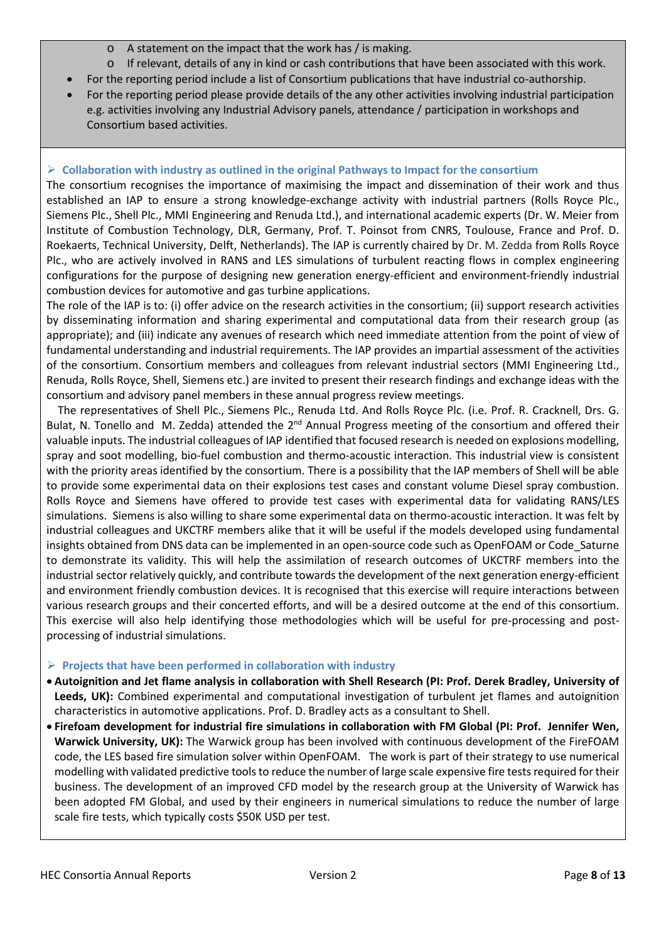- o A statement on the impact that the work has / is making.
- o If relevant, details of any in kind or cash contributions that have been associated with this work.
- For the reporting period include a list of Consortium publications that have industrial co-authorship.
- For the reporting period please provide details of the any other activities involving industrial participation e.g. activities involving any Industrial Advisory panels, attendance / participation in workshops and Consortium based activities.

## **Collaboration with industry as outlined in the original Pathways to Impact for the consortium**

The consortium recognises the importance of maximising the impact and dissemination of their work and thus established an IAP to ensure a strong knowledge-exchange activity with industrial partners (Rolls Royce Plc., Siemens Plc., Shell Plc., MMI Engineering and Renuda Ltd.), and international academic experts (Dr. W. Meier from Institute of Combustion Technology, DLR, Germany, Prof. T. Poinsot from CNRS, Toulouse, France and Prof. D. Roekaerts, Technical University, Delft, Netherlands). The IAP is currently chaired by Dr. M. Zedda from Rolls Royce Plc., who are actively involved in RANS and LES simulations of turbulent reacting flows in complex engineering configurations for the purpose of designing new generation energy-efficient and environment-friendly industrial combustion devices for automotive and gas turbine applications.

The role of the IAP is to: (i) offer advice on the research activities in the consortium; (ii) support research activities by disseminating information and sharing experimental and computational data from their research group (as appropriate); and (iii) indicate any avenues of research which need immediate attention from the point of view of fundamental understanding and industrial requirements. The IAP provides an impartial assessment of the activities of the consortium. Consortium members and colleagues from relevant industrial sectors (MMI Engineering Ltd., Renuda, Rolls Royce, Shell, Siemens etc.) are invited to present their research findings and exchange ideas with the consortium and advisory panel members in these annual progress review meetings.

 The representatives of Shell Plc., Siemens Plc., Renuda Ltd. And Rolls Royce Plc. (i.e. Prof. R. Cracknell, Drs. G. Bulat, N. Tonello and M. Zedda) attended the 2<sup>nd</sup> Annual Progress meeting of the consortium and offered their valuable inputs. The industrial colleagues of IAP identified that focused research is needed on explosions modelling, spray and soot modelling, bio-fuel combustion and thermo-acoustic interaction. This industrial view is consistent with the priority areas identified by the consortium. There is a possibility that the IAP members of Shell will be able to provide some experimental data on their explosions test cases and constant volume Diesel spray combustion. Rolls Royce and Siemens have offered to provide test cases with experimental data for validating RANS/LES simulations. Siemens is also willing to share some experimental data on thermo-acoustic interaction. It was felt by industrial colleagues and UKCTRF members alike that it will be useful if the models developed using fundamental insights obtained from DNS data can be implemented in an open-source code such as OpenFOAM or Code\_Saturne to demonstrate its validity. This will help the assimilation of research outcomes of UKCTRF members into the industrial sector relatively quickly, and contribute towards the development of the next generation energy-efficient and environment friendly combustion devices. It is recognised that this exercise will require interactions between various research groups and their concerted efforts, and will be a desired outcome at the end of this consortium. This exercise will also help identifying those methodologies which will be useful for pre-processing and postprocessing of industrial simulations.

## **Projects that have been performed in collaboration with industry**

- **Autoignition and Jet flame analysis in collaboration with Shell Research (PI: Prof. Derek Bradley, University of Leeds, UK):** Combined experimental and computational investigation of turbulent jet flames and autoignition characteristics in automotive applications. Prof. D. Bradley acts as a consultant to Shell.
- **Firefoam development for industrial fire simulations in collaboration with FM Global (PI: Prof. Jennifer Wen, Warwick University, UK):** The Warwick group has been involved with continuous development of the FireFOAM code, the LES based fire simulation solver within OpenFOAM. The work is part of their strategy to use numerical modelling with validated predictive tools to reduce the number of large scale expensive fire tests required for their business. The development of an improved CFD model by the research group at the University of Warwick has been adopted FM Global, and used by their engineers in numerical simulations to reduce the number of large scale fire tests, which typically costs \$50K USD per test.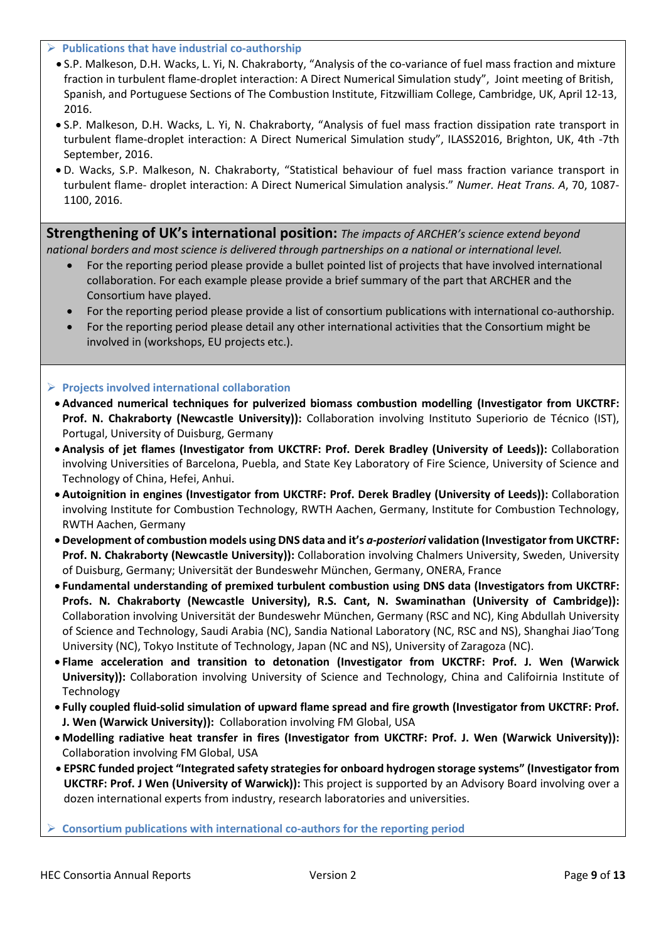#### **Publications that have industrial co-authorship**

- S.P. Malkeson, D.H. Wacks, L. Yi, N. Chakraborty, "Analysis of the co-variance of fuel mass fraction and mixture fraction in turbulent flame-droplet interaction: A Direct Numerical Simulation study", Joint meeting of British, Spanish, and Portuguese Sections of The Combustion Institute, Fitzwilliam College, Cambridge, UK, April 12-13, 2016.
- S.P. Malkeson, D.H. Wacks, L. Yi, N. Chakraborty, "Analysis of fuel mass fraction dissipation rate transport in turbulent flame-droplet interaction: A Direct Numerical Simulation study", ILASS2016, Brighton, UK, 4th -7th September, 2016.
- D. Wacks, S.P. Malkeson, N. Chakraborty, "Statistical behaviour of fuel mass fraction variance transport in turbulent flame- droplet interaction: A Direct Numerical Simulation analysis." *Numer. Heat Trans. A*, 70, 1087- 1100, 2016.

**Strengthening of UK's international position:** *The impacts of ARCHER's science extend beyond national borders and most science is delivered through partnerships on a national or international level.*

- For the reporting period please provide a bullet pointed list of projects that have involved international collaboration. For each example please provide a brief summary of the part that ARCHER and the Consortium have played.
- For the reporting period please provide a list of consortium publications with international co-authorship.
- For the reporting period please detail any other international activities that the Consortium might be involved in (workshops, EU projects etc.).

## **Projects involved international collaboration**

- **Advanced numerical techniques for pulverized biomass combustion modelling (Investigator from UKCTRF: Prof. N. Chakraborty (Newcastle University)):** Collaboration involving Instituto Superiorio de Técnico (IST), Portugal, University of Duisburg, Germany
- **Analysis of jet flames (Investigator from UKCTRF: Prof. Derek Bradley (University of Leeds)):** Collaboration involving Universities of Barcelona, Puebla, and State Key Laboratory of Fire Science, University of Science and Technology of China, Hefei, Anhui.
- **Autoignition in engines (Investigator from UKCTRF: Prof. Derek Bradley (University of Leeds)):** Collaboration involving Institute for Combustion Technology, RWTH Aachen, Germany, Institute for Combustion Technology, RWTH Aachen, Germany
- **Development of combustion models using DNS data and it's** *a-posteriori* **validation (Investigator from UKCTRF: Prof. N. Chakraborty (Newcastle University)):** Collaboration involving Chalmers University, Sweden, University of Duisburg, Germany; Universität der Bundeswehr München, Germany, ONERA, France
- **Fundamental understanding of premixed turbulent combustion using DNS data (Investigators from UKCTRF: Profs. N. Chakraborty (Newcastle University), R.S. Cant, N. Swaminathan (University of Cambridge)):**  Collaboration involving Universität der Bundeswehr München, Germany (RSC and NC), King Abdullah University of Science and Technology, Saudi Arabia (NC), Sandia National Laboratory (NC, RSC and NS), Shanghai Jiao'Tong University (NC), Tokyo Institute of Technology, Japan (NC and NS), University of Zaragoza (NC).
- **Flame acceleration and transition to detonation (Investigator from UKCTRF: Prof. J. Wen (Warwick University)):** Collaboration involving University of Science and Technology, China and Califoirnia Institute of **Technology**
- **Fully coupled fluid-solid simulation of upward flame spread and fire growth (Investigator from UKCTRF: Prof. J. Wen (Warwick University)):** Collaboration involving FM Global, USA
- **Modelling radiative heat transfer in fires (Investigator from UKCTRF: Prof. J. Wen (Warwick University)):**  Collaboration involving FM Global, USA
- **EPSRC funded project "Integrated safety strategies for onboard hydrogen storage systems" (Investigator from UKCTRF: Prof. J Wen (University of Warwick)):** This project is supported by an Advisory Board involving over a dozen international experts from industry, research laboratories and universities.
- **Consortium publications with international co-authors for the reporting period**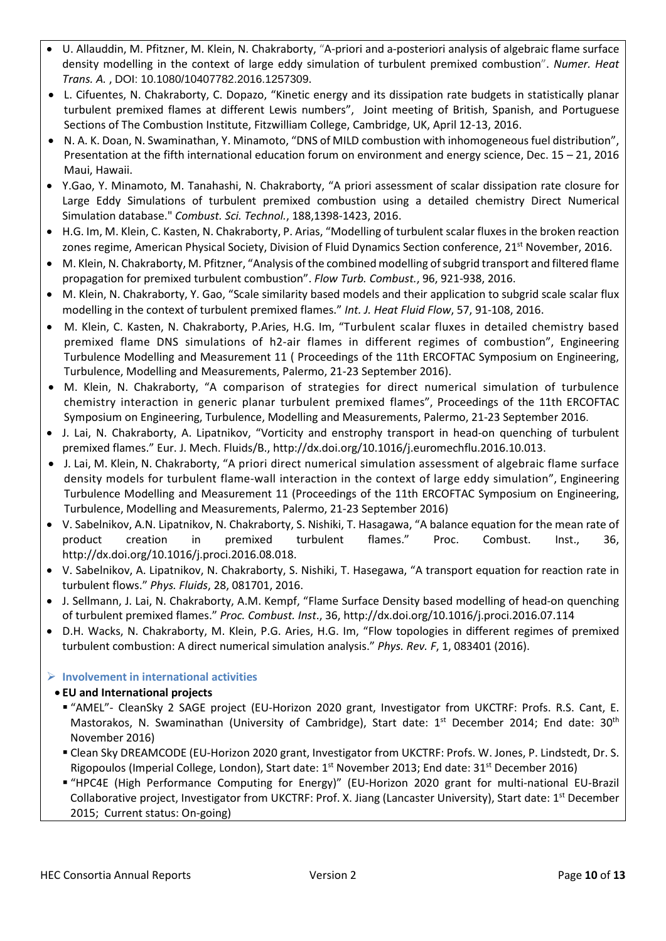- U. Allauddin, M. Pfitzner, M. Klein, N. Chakraborty, "A-priori and a-posteriori analysis of algebraic flame surface density modelling in the context of large eddy simulation of turbulent premixed combustion". *Numer. Heat Trans. A.* , DOI: 10.1080/10407782.2016.1257309.
- L. Cifuentes, N. Chakraborty, C. Dopazo, "Kinetic energy and its dissipation rate budgets in statistically planar turbulent premixed flames at different Lewis numbers", Joint meeting of British, Spanish, and Portuguese Sections of The Combustion Institute, Fitzwilliam College, Cambridge, UK, April 12-13, 2016.
- N. A. K. Doan, N. Swaminathan, Y. Minamoto, "DNS of MILD combustion with inhomogeneous fuel distribution", Presentation at the fifth international education forum on environment and energy science, Dec. 15 – 21, 2016 Maui, Hawaii.
- Y.Gao, Y. Minamoto, M. Tanahashi, N. Chakraborty, "A priori assessment of scalar dissipation rate closure for Large Eddy Simulations of turbulent premixed combustion using a detailed chemistry Direct Numerical Simulation database." *Combust. Sci. Technol.*, 188,1398-1423, 2016.
- H.G. Im, M. Klein, C. Kasten, N. Chakraborty, P. Arias, "Modelling of turbulent scalar fluxes in the broken reaction zones regime, American Physical Society, Division of Fluid Dynamics Section conference, 21st November, 2016.
- M. Klein, N. Chakraborty, M. Pfitzner, "Analysis of the combined modelling of subgrid transport and filtered flame propagation for premixed turbulent combustion". *Flow Turb. Combust.*, 96, 921-938, 2016.
- M. Klein, N. Chakraborty, Y. Gao, "Scale similarity based models and their application to subgrid scale scalar flux modelling in the context of turbulent premixed flames." *Int. J. Heat Fluid Flow*, 57, 91-108, 2016.
- M. Klein, C. Kasten, N. Chakraborty, P.Aries, H.G. Im, "Turbulent scalar fluxes in detailed chemistry based premixed flame DNS simulations of h2-air flames in different regimes of combustion", Engineering Turbulence Modelling and Measurement 11 ( Proceedings of the 11th ERCOFTAC Symposium on Engineering, Turbulence, Modelling and Measurements, Palermo, 21-23 September 2016).
- M. Klein, N. Chakraborty, "A comparison of strategies for direct numerical simulation of turbulence chemistry interaction in generic planar turbulent premixed flames", Proceedings of the 11th ERCOFTAC Symposium on Engineering, Turbulence, Modelling and Measurements, Palermo, 21-23 September 2016.
- J. Lai, N. Chakraborty, A. Lipatnikov, "Vorticity and enstrophy transport in head-on quenching of turbulent premixed flames." Eur. J. Mech. Fluids/B., [http://dx.doi.org/10.1016/j.euromechflu.2016.10.013.](http://dx.doi.org/10.1016/j.euromechflu.2016.10.013)
- J. Lai, M. Klein, N. Chakraborty, "A priori direct numerical simulation assessment of algebraic flame surface density models for turbulent flame-wall interaction in the context of large eddy simulation", Engineering Turbulence Modelling and Measurement 11 (Proceedings of the 11th ERCOFTAC Symposium on Engineering, Turbulence, Modelling and Measurements, Palermo, 21-23 September 2016)
- V. Sabelnikov, A.N. Lipatnikov, N. Chakraborty, S. Nishiki, T. Hasagawa, "A balance equation for the mean rate of product creation in premixed turbulent flames." Proc. Combust. Inst., 36, [http://dx.doi.org/10.1016/j.proci.2016.08.018.](http://dx.doi.org/10.1016/j.proci.2016.08.018)
- V. Sabelnikov, A. Lipatnikov, N. Chakraborty, S. Nishiki, T. Hasegawa, "A transport equation for reaction rate in turbulent flows." *Phys. Fluids*, 28, 081701, 2016.
- J. Sellmann, J. Lai, N. Chakraborty, A.M. Kempf, "Flame Surface Density based modelling of head-on quenching of turbulent premixed flames." *Proc. Combust. Inst*., 36, http://dx.doi.org/10.1016/j.proci.2016.07.114
- D.H. Wacks, N. Chakraborty, M. Klein, P.G. Aries, H.G. Im, "Flow topologies in different regimes of premixed turbulent combustion: A direct numerical simulation analysis." *Phys. Rev. F*, 1, 083401 (2016).

## **Involvement in international activities**

## • **EU and International projects**

- "AMEL"- CleanSky 2 SAGE project (EU-Horizon 2020 grant, Investigator from UKCTRF: Profs. R.S. Cant, E. Mastorakos, N. Swaminathan (University of Cambridge), Start date: 1<sup>st</sup> December 2014; End date: 30<sup>th</sup> November 2016)
- Clean Sky DREAMCODE (EU-Horizon 2020 grant, Investigator from UKCTRF: Profs. W. Jones, P. Lindstedt, Dr. S. Rigopoulos (Imperial College, London), Start date: 1<sup>st</sup> November 2013; End date: 31<sup>st</sup> December 2016)
- "HPC4E (High Performance Computing for Energy)" (EU-Horizon 2020 grant for multi-national EU-Brazil Collaborative project, Investigator from UKCTRF: Prof. X. Jiang (Lancaster University), Start date: 1<sup>st</sup> December 2015; Current status: On-going)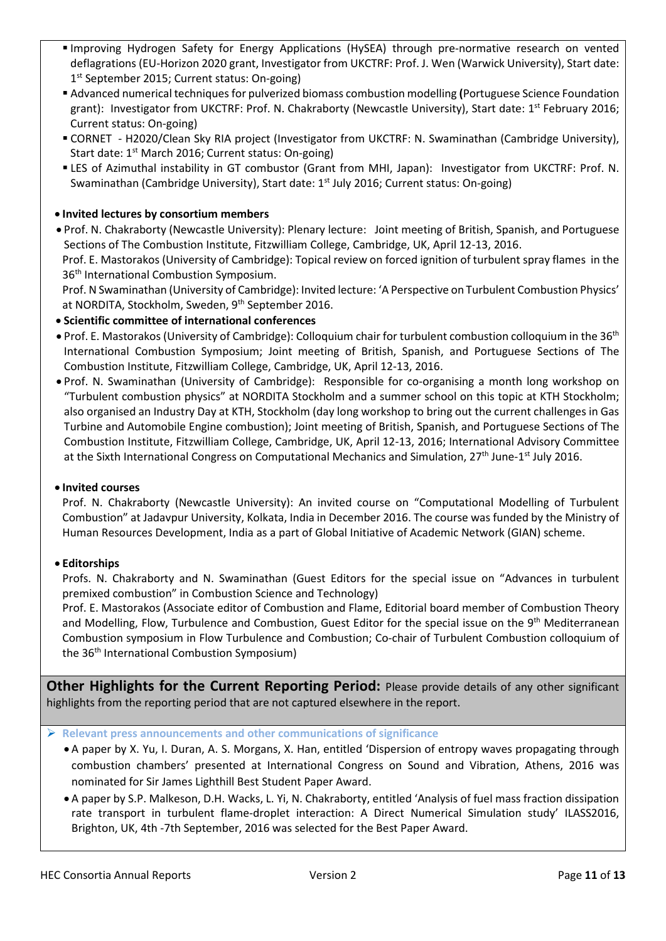- Improving Hydrogen Safety for Energy Applications (HySEA) through pre-normative research on vented deflagrations (EU-Horizon 2020 grant, Investigator from UKCTRF: Prof. J. Wen (Warwick University), Start date: 1<sup>st</sup> September 2015; Current status: On-going)
- Advanced numerical techniques for pulverized biomass combustion modelling **(**Portuguese Science Foundation grant): Investigator from UKCTRF: Prof. N. Chakraborty (Newcastle University), Start date: 1<sup>st</sup> February 2016; Current status: On-going)
- CORNET H2020/Clean Sky RIA project (Investigator from UKCTRF: N. Swaminathan (Cambridge University), Start date: 1<sup>st</sup> March 2016; Current status: On-going)
- LES of Azimuthal instability in GT combustor (Grant from MHI, Japan): Investigator from UKCTRF: Prof. N. Swaminathan (Cambridge University), Start date: 1<sup>st</sup> July 2016; Current status: On-going)

## • **Invited lectures by consortium members**

• Prof. N. Chakraborty (Newcastle University): Plenary lecture: Joint meeting of British, Spanish, and Portuguese Sections of The Combustion Institute, Fitzwilliam College, Cambridge, UK, April 12-13, 2016.

Prof. E. Mastorakos (University of Cambridge): Topical review on forced ignition of turbulent spray flames in the 36<sup>th</sup> International Combustion Symposium.

Prof. N Swaminathan (University of Cambridge): Invited lecture: 'A Perspective on Turbulent Combustion Physics' at NORDITA, Stockholm, Sweden, 9<sup>th</sup> September 2016.

- **Scientific committee of international conferences**
- Prof. E. Mastorakos (University of Cambridge): Colloquium chair for turbulent combustion colloquium in the 36<sup>th</sup> International Combustion Symposium; Joint meeting of British, Spanish, and Portuguese Sections of The Combustion Institute, Fitzwilliam College, Cambridge, UK, April 12-13, 2016.
- Prof. N. Swaminathan (University of Cambridge): Responsible for co-organising a month long workshop on "Turbulent combustion physics" at NORDITA Stockholm and a summer school on this topic at KTH Stockholm; also organised an Industry Day at KTH, Stockholm (day long workshop to bring out the current challenges in Gas Turbine and Automobile Engine combustion); Joint meeting of British, Spanish, and Portuguese Sections of The Combustion Institute, Fitzwilliam College, Cambridge, UK, April 12-13, 2016; International Advisory Committee at the Sixth International Congress on Computational Mechanics and Simulation, 27<sup>th</sup> June-1<sup>st</sup> July 2016.

#### • **Invited courses**

Prof. N. Chakraborty (Newcastle University): An invited course on "Computational Modelling of Turbulent Combustion" at Jadavpur University, Kolkata, India in December 2016. The course was funded by the Ministry of Human Resources Development, India as a part of Global Initiative of Academic Network (GIAN) scheme.

#### • **Editorships**

Profs. N. Chakraborty and N. Swaminathan (Guest Editors for the special issue on "Advances in turbulent premixed combustion" in Combustion Science and Technology)

Prof. E. Mastorakos (Associate editor of Combustion and Flame, Editorial board member of Combustion Theory and Modelling, Flow, Turbulence and Combustion, Guest Editor for the special issue on the 9<sup>th</sup> Mediterranean Combustion symposium in Flow Turbulence and Combustion; Co-chair of Turbulent Combustion colloquium of the 36<sup>th</sup> International Combustion Symposium)

**Other Highlights for the Current Reporting Period:** Please provide details of any other significant highlights from the reporting period that are not captured elsewhere in the report.

- **Relevant press announcements and other communications of significance** 
	- A paper by X. Yu, I. Duran, A. S. Morgans, X. Han, entitled 'Dispersion of entropy waves propagating through combustion chambers' presented at International Congress on Sound and Vibration, Athens, 2016 was nominated for Sir James Lighthill Best Student Paper Award.
	- A paper by S.P. Malkeson, D.H. Wacks, L. Yi, N. Chakraborty, entitled 'Analysis of fuel mass fraction dissipation rate transport in turbulent flame-droplet interaction: A Direct Numerical Simulation study' ILASS2016, Brighton, UK, 4th -7th September, 2016 was selected for the Best Paper Award.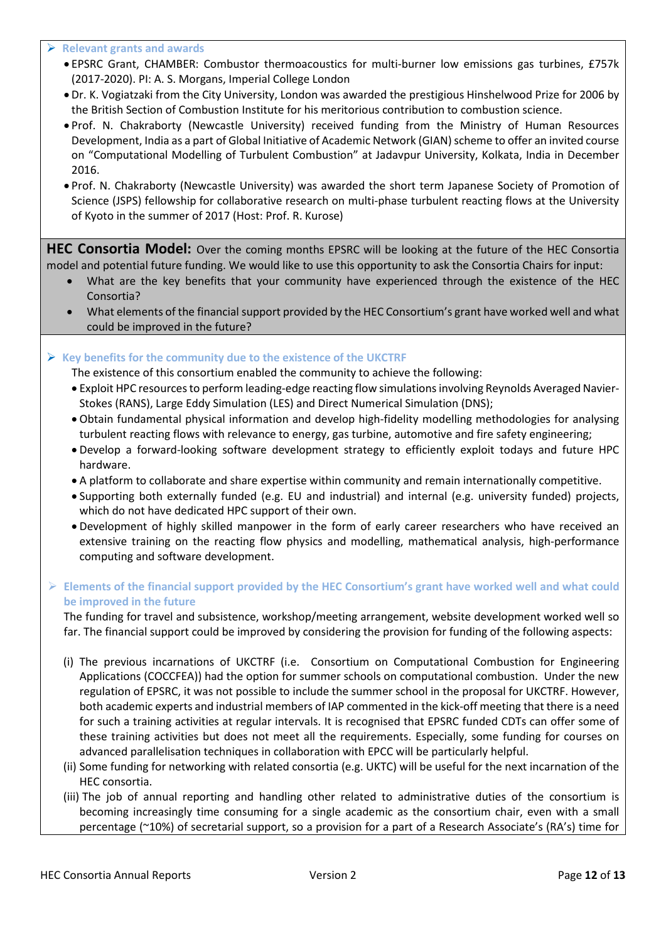**Relevant grants and awards**

- EPSRC Grant, CHAMBER: Combustor thermoacoustics for multi-burner low emissions gas turbines, £757k (2017-2020). PI: A. S. Morgans, Imperial College London
- Dr. K. Vogiatzaki from the City University, London was awarded the prestigious Hinshelwood Prize for 2006 by the British Section of Combustion Institute for his meritorious contribution to combustion science.
- Prof. N. Chakraborty (Newcastle University) received funding from the Ministry of Human Resources Development, India as a part of Global Initiative of Academic Network (GIAN) scheme to offer an invited course on "Computational Modelling of Turbulent Combustion" at Jadavpur University, Kolkata, India in December 2016.
- Prof. N. Chakraborty (Newcastle University) was awarded the short term Japanese Society of Promotion of Science (JSPS) fellowship for collaborative research on multi-phase turbulent reacting flows at the University of Kyoto in the summer of 2017 (Host: Prof. R. Kurose)

**HEC Consortia Model:** Over the coming months EPSRC will be looking at the future of the HEC Consortia model and potential future funding. We would like to use this opportunity to ask the Consortia Chairs for input:

- What are the key benefits that your community have experienced through the existence of the HEC Consortia?
- What elements of the financial support provided by the HEC Consortium's grant have worked well and what could be improved in the future?

## **Key benefits for the community due to the existence of the UKCTRF**

The existence of this consortium enabled the community to achieve the following:

- Exploit HPC resources to perform leading-edge reacting flow simulations involving Reynolds Averaged Navier-Stokes (RANS), Large Eddy Simulation (LES) and Direct Numerical Simulation (DNS);
- Obtain fundamental physical information and develop high-fidelity modelling methodologies for analysing turbulent reacting flows with relevance to energy, gas turbine, automotive and fire safety engineering;
- Develop a forward-looking software development strategy to efficiently exploit todays and future HPC hardware.
- A platform to collaborate and share expertise within community and remain internationally competitive.
- Supporting both externally funded (e.g. EU and industrial) and internal (e.g. university funded) projects, which do not have dedicated HPC support of their own.
- Development of highly skilled manpower in the form of early career researchers who have received an extensive training on the reacting flow physics and modelling, mathematical analysis, high-performance computing and software development.

## $\triangleright$  Elements of the financial support provided by the HEC Consortium's grant have worked well and what could **be improved in the future**

The funding for travel and subsistence, workshop/meeting arrangement, website development worked well so far. The financial support could be improved by considering the provision for funding of the following aspects:

- (i) The previous incarnations of UKCTRF (i.e. Consortium on Computational Combustion for Engineering Applications (COCCFEA)) had the option for summer schools on computational combustion. Under the new regulation of EPSRC, it was not possible to include the summer school in the proposal for UKCTRF. However, both academic experts and industrial members of IAP commented in the kick-off meeting that there is a need for such a training activities at regular intervals. It is recognised that EPSRC funded CDTs can offer some of these training activities but does not meet all the requirements. Especially, some funding for courses on advanced parallelisation techniques in collaboration with EPCC will be particularly helpful.
- (ii) Some funding for networking with related consortia (e.g. UKTC) will be useful for the next incarnation of the HEC consortia.
- (iii) The job of annual reporting and handling other related to administrative duties of the consortium is becoming increasingly time consuming for a single academic as the consortium chair, even with a small percentage (~10%) of secretarial support, so a provision for a part of a Research Associate's (RA's) time for